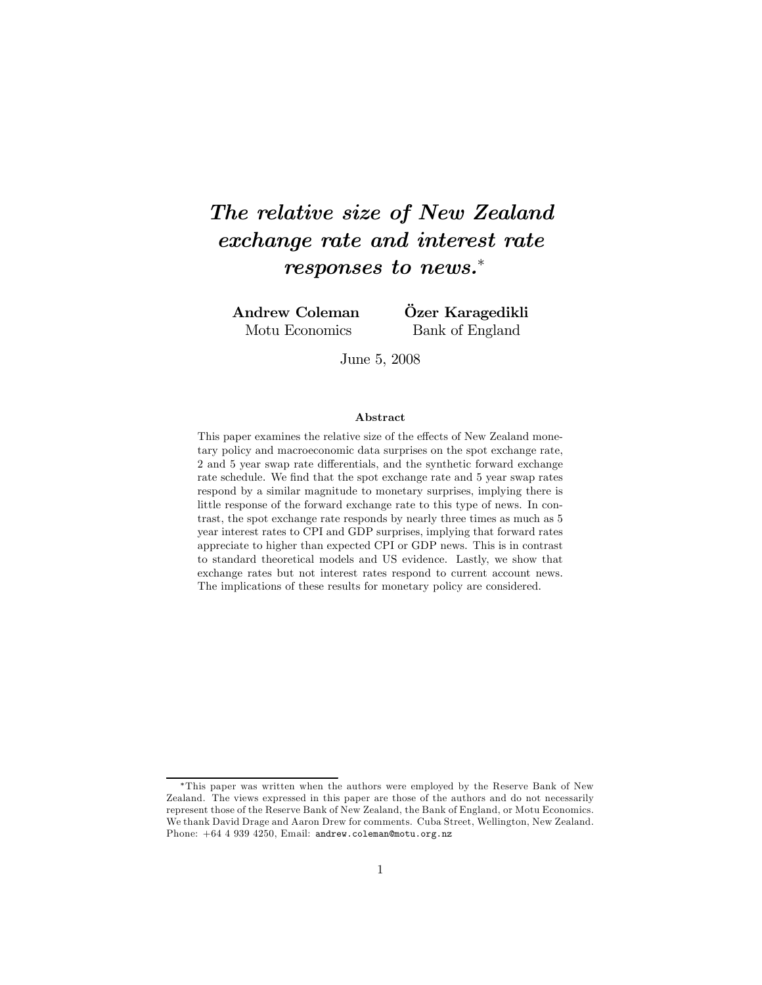# The relative size of New Zealand exchange rate and interest rate responses to news.<sup>∗</sup>

Andrew Coleman Motu Economics

Özer Karagedikli Bank of England

June 5, 2008

#### Abstract

This paper examines the relative size of the effects of New Zealand monetary policy and macroeconomic data surprises on the spot exchange rate, 2 and 5 year swap rate differentials, and the synthetic forward exchange rate schedule. We find that the spot exchange rate and 5 year swap rates respond by a similar magnitude to monetary surprises, implying there is little response of the forward exchange rate to this type of news. In contrast, the spot exchange rate responds by nearly three times as much as 5 year interest rates to CPI and GDP surprises, implying that forward rates appreciate to higher than expected CPI or GDP news. This is in contrast to standard theoretical models and US evidence. Lastly, we show that exchange rates but not interest rates respond to current account news. The implications of these results for monetary policy are considered.

<sup>∗</sup>This paper was written when the authors were employed by the Reserve Bank of New Zealand. The views expressed in this paper are those of the authors and do not necessarily represent those of the Reserve Bank of New Zealand, the Bank of England, or Motu Economics. We thank David Drage and Aaron Drew for comments. Cuba Street, Wellington, New Zealand. Phone: +64 4 939 4250, Email: andrew.coleman@motu.org.nz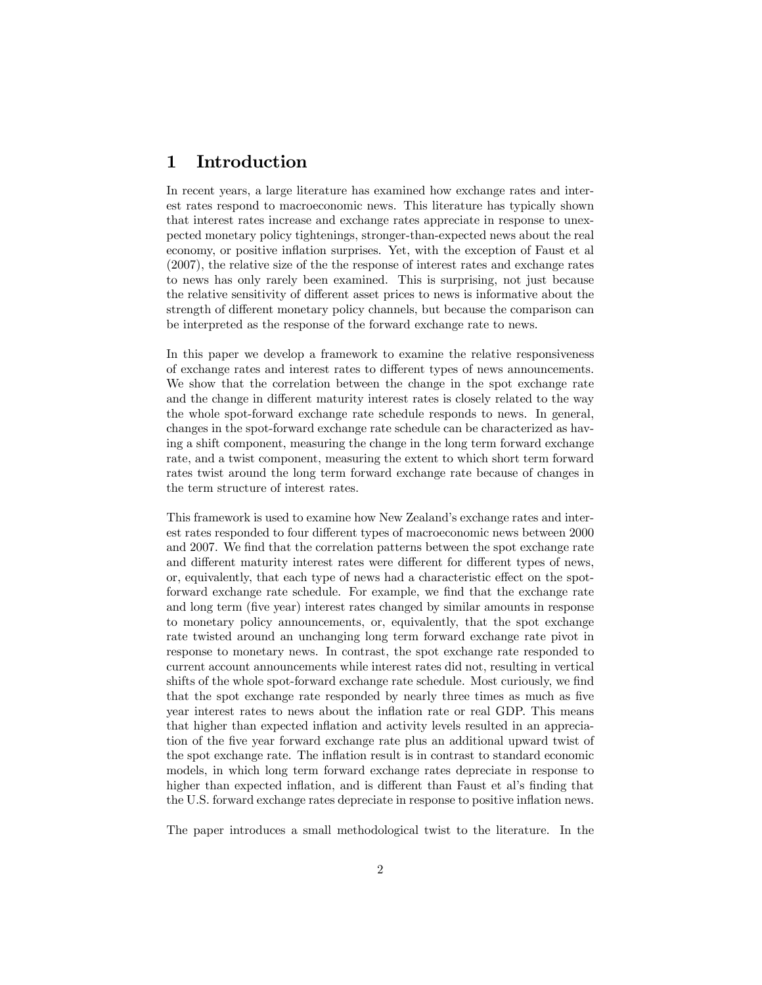## 1 Introduction

In recent years, a large literature has examined how exchange rates and interest rates respond to macroeconomic news. This literature has typically shown that interest rates increase and exchange rates appreciate in response to unexpected monetary policy tightenings, stronger-than-expected news about the real economy, or positive inflation surprises. Yet, with the exception of Faust et al (2007), the relative size of the the response of interest rates and exchange rates to news has only rarely been examined. This is surprising, not just because the relative sensitivity of different asset prices to news is informative about the strength of different monetary policy channels, but because the comparison can be interpreted as the response of the forward exchange rate to news.

In this paper we develop a framework to examine the relative responsiveness of exchange rates and interest rates to different types of news announcements. We show that the correlation between the change in the spot exchange rate and the change in different maturity interest rates is closely related to the way the whole spot-forward exchange rate schedule responds to news. In general, changes in the spot-forward exchange rate schedule can be characterized as having a shift component, measuring the change in the long term forward exchange rate, and a twist component, measuring the extent to which short term forward rates twist around the long term forward exchange rate because of changes in the term structure of interest rates.

This framework is used to examine how New Zealand's exchange rates and interest rates responded to four different types of macroeconomic news between 2000 and 2007. We find that the correlation patterns between the spot exchange rate and different maturity interest rates were different for different types of news, or, equivalently, that each type of news had a characteristic effect on the spotforward exchange rate schedule. For example, we find that the exchange rate and long term (five year) interest rates changed by similar amounts in response to monetary policy announcements, or, equivalently, that the spot exchange rate twisted around an unchanging long term forward exchange rate pivot in response to monetary news. In contrast, the spot exchange rate responded to current account announcements while interest rates did not, resulting in vertical shifts of the whole spot-forward exchange rate schedule. Most curiously, we find that the spot exchange rate responded by nearly three times as much as five year interest rates to news about the inflation rate or real GDP. This means that higher than expected inflation and activity levels resulted in an appreciation of the five year forward exchange rate plus an additional upward twist of the spot exchange rate. The inflation result is in contrast to standard economic models, in which long term forward exchange rates depreciate in response to higher than expected inflation, and is different than Faust et al's finding that the U.S. forward exchange rates depreciate in response to positive inflation news.

The paper introduces a small methodological twist to the literature. In the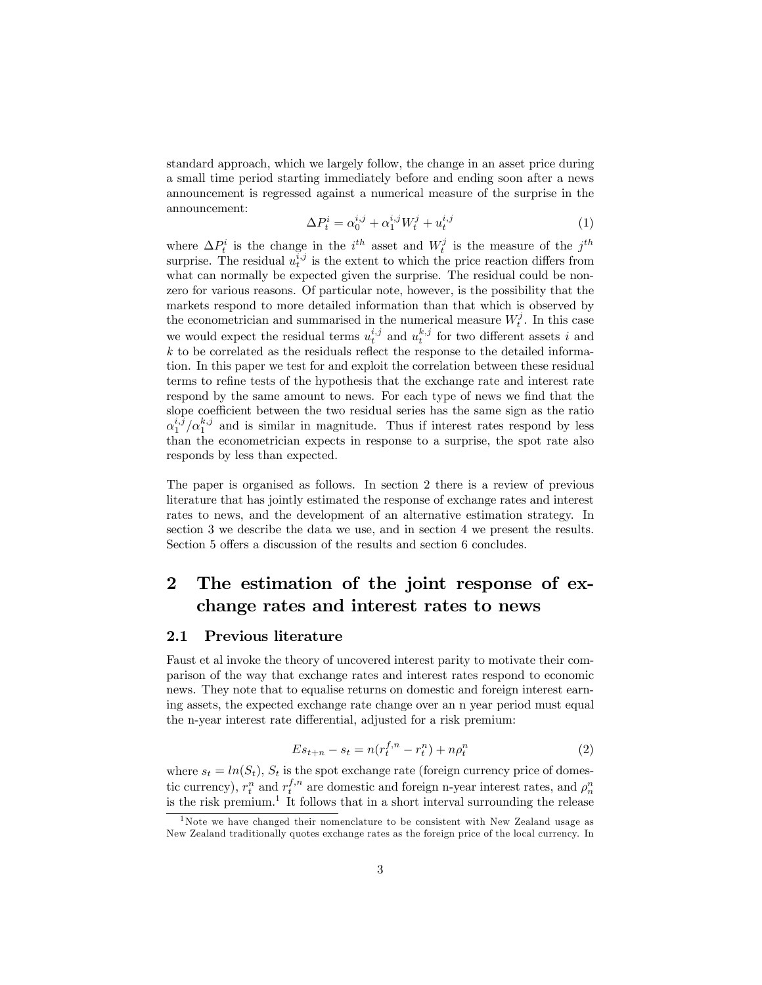standard approach, which we largely follow, the change in an asset price during a small time period starting immediately before and ending soon after a news announcement is regressed against a numerical measure of the surprise in the announcement:

$$
\Delta P_t^i = \alpha_0^{i,j} + \alpha_1^{i,j} W_t^j + u_t^{i,j} \tag{1}
$$

where  $\Delta P_t^i$  is the change in the  $i^{th}$  asset and  $W_t^j$  is the measure of the  $j^{th}$ surprise. The residual  $u_t^{\bar{i},j}$  is the extent to which the price reaction differs from what can normally be expected given the surprise. The residual could be nonzero for various reasons. Of particular note, however, is the possibility that the markets respond to more detailed information than that which is observed by the econometrician and summarised in the numerical measure  $W_t^j$ . In this case we would expect the residual terms  $u_t^{i,j}$  and  $u_t^{k,j}$  for two different assets i and  $k$  to be correlated as the residuals reflect the response to the detailed information. In this paper we test for and exploit the correlation between these residual terms to refine tests of the hypothesis that the exchange rate and interest rate respond by the same amount to news. For each type of news we find that the slope coefficient between the two residual series has the same sign as the ratio  $\alpha_1^{i,j}/\alpha_1^{k,j}$  and is similar in magnitude. Thus if interest rates respond by less than the econometrician expects in response to a surprise, the spot rate also responds by less than expected.

The paper is organised as follows. In section 2 there is a review of previous literature that has jointly estimated the response of exchange rates and interest rates to news, and the development of an alternative estimation strategy. In section 3 we describe the data we use, and in section 4 we present the results. Section 5 offers a discussion of the results and section 6 concludes.

# 2 The estimation of the joint response of exchange rates and interest rates to news

#### 2.1 Previous literature

Faust et al invoke the theory of uncovered interest parity to motivate their comparison of the way that exchange rates and interest rates respond to economic news. They note that to equalise returns on domestic and foreign interest earning assets, the expected exchange rate change over an n year period must equal the n-year interest rate differential, adjusted for a risk premium:

$$
Es_{t+n} - s_t = n(r_t^{f,n} - r_t^n) + n\rho_t^n
$$
\n(2)

where  $s_t = ln(S_t)$ ,  $S_t$  is the spot exchange rate (foreign currency price of domestic currency),  $r_t^n$  and  $r_t^{f,n}$  are domestic and foreign n-year interest rates, and  $\rho_n^n$ is the risk premium.<sup>1</sup> It follows that in a short interval surrounding the release

<sup>&</sup>lt;sup>1</sup>Note we have changed their nomenclature to be consistent with New Zealand usage as New Zealand traditionally quotes exchange rates as the foreign price of the local currency. In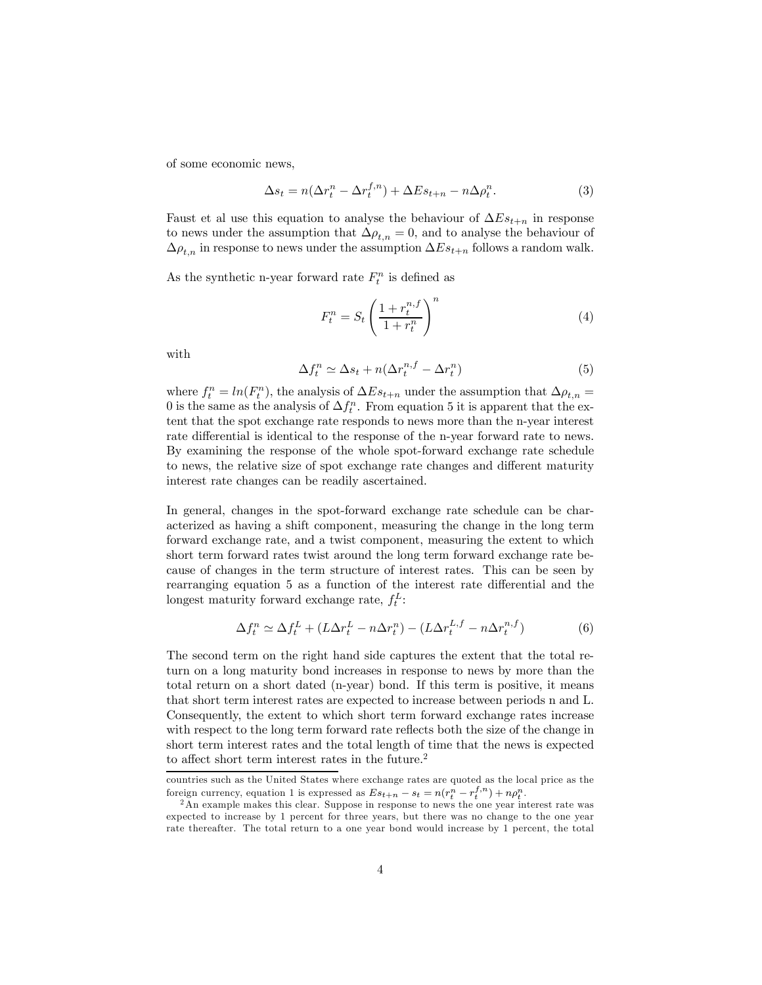of some economic news,

$$
\Delta s_t = n(\Delta r_t^n - \Delta r_t^{f,n}) + \Delta E s_{t+n} - n\Delta \rho_t^n. \tag{3}
$$

Faust et al use this equation to analyse the behaviour of  $\Delta Es_{t+n}$  in response to news under the assumption that  $\Delta \rho_{t,n} = 0$ , and to analyse the behaviour of  $\Delta \rho_{t,n}$  in response to news under the assumption  $\Delta E_{t+n}$  follows a random walk.

As the synthetic n-year forward rate  $F_t^n$  is defined as

$$
F_t^n = S_t \left(\frac{1 + r_t^{n,f}}{1 + r_t^n}\right)^n \tag{4}
$$

with

$$
\Delta f_t^n \simeq \Delta s_t + n(\Delta r_t^{n,f} - \Delta r_t^n) \tag{5}
$$

where  $f_t^n = ln(F_t^n)$ , the analysis of  $\Delta Es_{t+n}$  under the assumption that  $\Delta \rho_{t,n} =$ 0 is the same as the analysis of  $\Delta f_t^n$ . From equation 5 it is apparent that the extent that the spot exchange rate responds to news more than the n-year interest rate differential is identical to the response of the n-year forward rate to news. By examining the response of the whole spot-forward exchange rate schedule to news, the relative size of spot exchange rate changes and different maturity interest rate changes can be readily ascertained.

In general, changes in the spot-forward exchange rate schedule can be characterized as having a shift component, measuring the change in the long term forward exchange rate, and a twist component, measuring the extent to which short term forward rates twist around the long term forward exchange rate because of changes in the term structure of interest rates. This can be seen by rearranging equation 5 as a function of the interest rate differential and the longest maturity forward exchange rate,  $f_t^L$ :

$$
\Delta f_t^n \simeq \Delta f_t^L + (L\Delta r_t^L - n\Delta r_t^n) - (L\Delta r_t^{L,f} - n\Delta r_t^{n,f})
$$
\n(6)

The second term on the right hand side captures the extent that the total return on a long maturity bond increases in response to news by more than the total return on a short dated (n-year) bond. If this term is positive, it means that short term interest rates are expected to increase between periods n and L. Consequently, the extent to which short term forward exchange rates increase with respect to the long term forward rate reflects both the size of the change in short term interest rates and the total length of time that the news is expected to affect short term interest rates in the future.<sup>2</sup>

countries such as the United States where exchange rates are quoted as the local price as the foreign currency, equation 1 is expressed as  $Es_{t+n} - s_t = n(r_t^n - r_t^{f,n}) + n\rho_t^n$ 

 ${}^{2}$ An example makes this clear. Suppose in response to news the one year interest rate was expected to increase by 1 percent for three years, but there was no change to the one year rate thereafter. The total return to a one year bond would increase by 1 percent, the total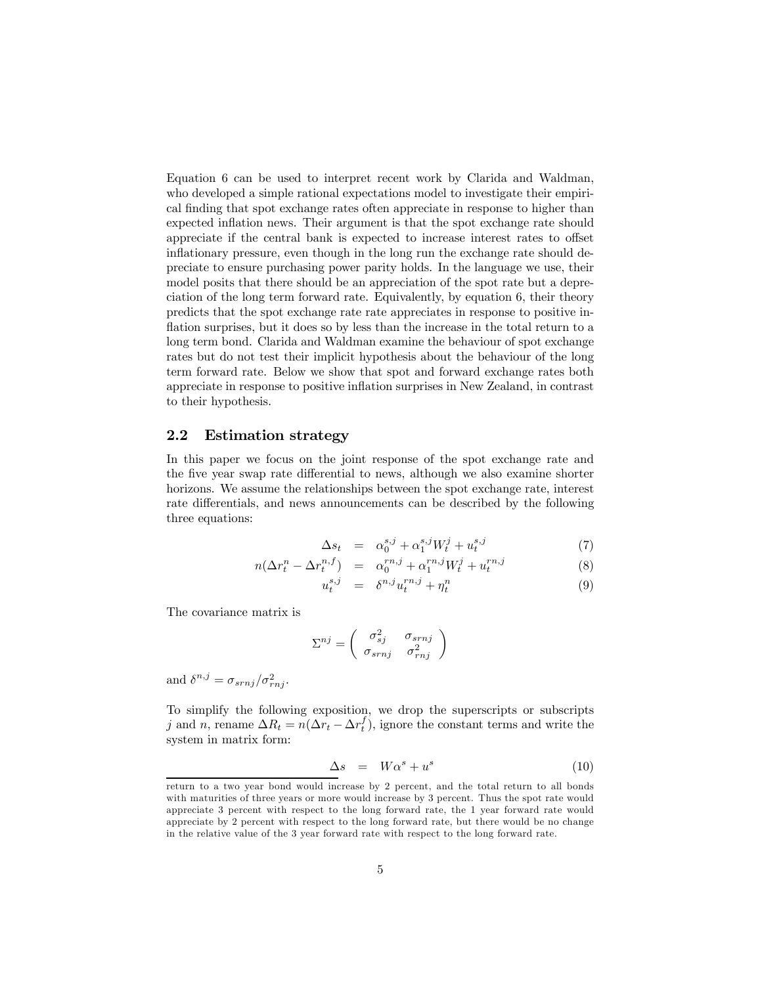Equation 6 can be used to interpret recent work by Clarida and Waldman, who developed a simple rational expectations model to investigate their empirical finding that spot exchange rates often appreciate in response to higher than expected inflation news. Their argument is that the spot exchange rate should appreciate if the central bank is expected to increase interest rates to offset inflationary pressure, even though in the long run the exchange rate should depreciate to ensure purchasing power parity holds. In the language we use, their model posits that there should be an appreciation of the spot rate but a depreciation of the long term forward rate. Equivalently, by equation 6, their theory predicts that the spot exchange rate rate appreciates in response to positive inflation surprises, but it does so by less than the increase in the total return to a long term bond. Clarida and Waldman examine the behaviour of spot exchange rates but do not test their implicit hypothesis about the behaviour of the long term forward rate. Below we show that spot and forward exchange rates both appreciate in response to positive inflation surprises in New Zealand, in contrast to their hypothesis.

#### 2.2 Estimation strategy

In this paper we focus on the joint response of the spot exchange rate and the five year swap rate differential to news, although we also examine shorter horizons. We assume the relationships between the spot exchange rate, interest rate differentials, and news announcements can be described by the following three equations:

$$
\Delta s_t = \alpha_0^{s,j} + \alpha_1^{s,j} W_t^j + u_t^{s,j} \tag{7}
$$

$$
n(\Delta r_t^n - \Delta r_t^{n,f}) = \alpha_0^{rn,j} + \alpha_1^{rn,j} W_t^j + u_t^{rn,j}
$$
 (8)

$$
u_t^{s,j} = \delta^{n,j} u_t^{rn,j} + \eta_t^n \tag{9}
$$

The covariance matrix is

$$
\Sigma^{nj} = \left(\begin{array}{cc} \sigma_{sj}^2 & \sigma_{srnj} \\ \sigma_{srnj} & \sigma_{rnj}^2 \end{array}\right)
$$

and  $\delta^{n,j} = \sigma_{srnj}/\sigma_{rnj}^2$ .

To simplify the following exposition, we drop the superscripts or subscripts j and n, rename  $\Delta R_t = n(\Delta r_t - \Delta r_t^f)$ , ignore the constant terms and write the system in matrix form:

$$
\Delta s = W\alpha^s + u^s \tag{10}
$$

return to a two year bond would increase by 2 percent, and the total return to all bonds with maturities of three years or more would increase by 3 percent. Thus the spot rate would appreciate 3 percent with respect to the long forward rate, the 1 year forward rate would appreciate by 2 percent with respect to the long forward rate, but there would be no change in the relative value of the 3 year forward rate with respect to the long forward rate.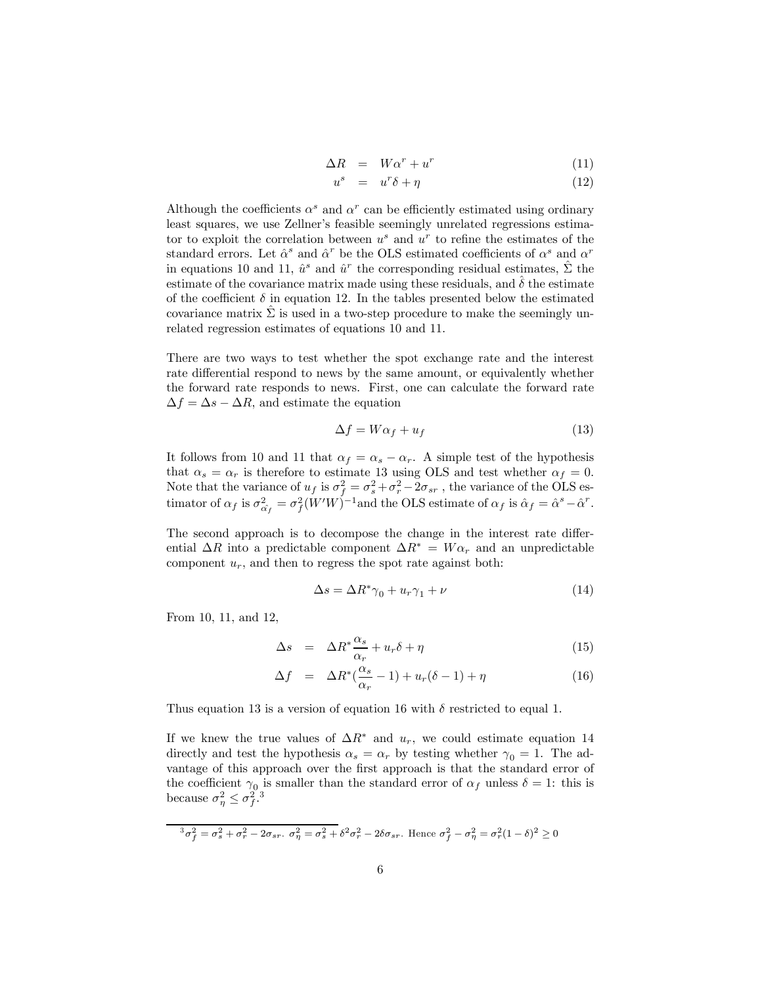$$
\Delta R = W\alpha^r + u^r \tag{11}
$$

$$
u^s = u^r \delta + \eta \tag{12}
$$

Although the coefficients  $\alpha^s$  and  $\alpha^r$  can be efficiently estimated using ordinary least squares, we use Zellner's feasible seemingly unrelated regressions estimator to exploit the correlation between  $u^s$  and  $u^r$  to refine the estimates of the standard errors. Let  $\hat{\alpha}^s$  and  $\hat{\alpha}^r$  be the OLS estimated coefficients of  $\alpha^s$  and  $\alpha^r$ in equations 10 and 11,  $\hat{u}^s$  and  $\hat{u}^r$  the corresponding residual estimates,  $\Sigma$  the estimate of the covariance matrix made using these residuals, and  $\hat{\delta}$  the estimate of the coefficient  $\delta$  in equation 12. In the tables presented below the estimated covariance matrix  $\hat{\Sigma}$  is used in a two-step procedure to make the seemingly unrelated regression estimates of equations 10 and 11.

There are two ways to test whether the spot exchange rate and the interest rate differential respond to news by the same amount, or equivalently whether the forward rate responds to news. First, one can calculate the forward rate  $\Delta f = \Delta s - \Delta R$ , and estimate the equation

$$
\Delta f = W\alpha_f + u_f \tag{13}
$$

It follows from 10 and 11 that  $\alpha_f = \alpha_s - \alpha_r$ . A simple test of the hypothesis that  $\alpha_s = \alpha_r$  is therefore to estimate 13 using OLS and test whether  $\alpha_f = 0$ . Note that the variance of  $u_f$  is  $\sigma_f^2 = \sigma_s^2 + \sigma_r^2 - 2\sigma_{sr}$ , the variance of the OLS estimator of  $\alpha_f$  is  $\sigma_{\hat{\alpha}_f}^2 = \sigma_f^2 (W'W)^{-1}$  and the OLS estimate of  $\alpha_f$  is  $\hat{\alpha}_f = \hat{\alpha}^s - \hat{\alpha}^r$ .

The second approach is to decompose the change in the interest rate differential  $\Delta R$  into a predictable component  $\Delta R^* = W \alpha_r$  and an unpredictable component  $u_r$ , and then to regress the spot rate against both:

$$
\Delta s = \Delta R^* \gamma_0 + u_r \gamma_1 + \nu \tag{14}
$$

From 10, 11, and 12,

$$
\Delta s = \Delta R^* \frac{\alpha_s}{\alpha_r} + u_r \delta + \eta \tag{15}
$$

$$
\Delta f = \Delta R^* \left( \frac{\alpha_s}{\alpha_r} - 1 \right) + u_r(\delta - 1) + \eta \tag{16}
$$

Thus equation 13 is a version of equation 16 with  $\delta$  restricted to equal 1.

If we knew the true values of  $\Delta R^*$  and  $u_r$ , we could estimate equation 14 directly and test the hypothesis  $\alpha_s = \alpha_r$  by testing whether  $\gamma_0 = 1$ . The advantage of this approach over the first approach is that the standard error of the coefficient  $\gamma_0$  is smaller than the standard error of  $\alpha_f$  unless  $\delta = 1$ : this is because  $\sigma_{\eta}^2 \leq \sigma_f^2$ .<sup>3</sup>

$$
{}^3\sigma_f^2 = \sigma_s^2 + \sigma_r^2 - 2\sigma_{sr}.\ \sigma_\eta^2 = \sigma_s^2 + \delta^2 \sigma_r^2 - 2\delta \sigma_{sr}.\ \text{Hence }\sigma_f^2 - \sigma_\eta^2 = \sigma_r^2 (1 - \delta)^2 \ge 0
$$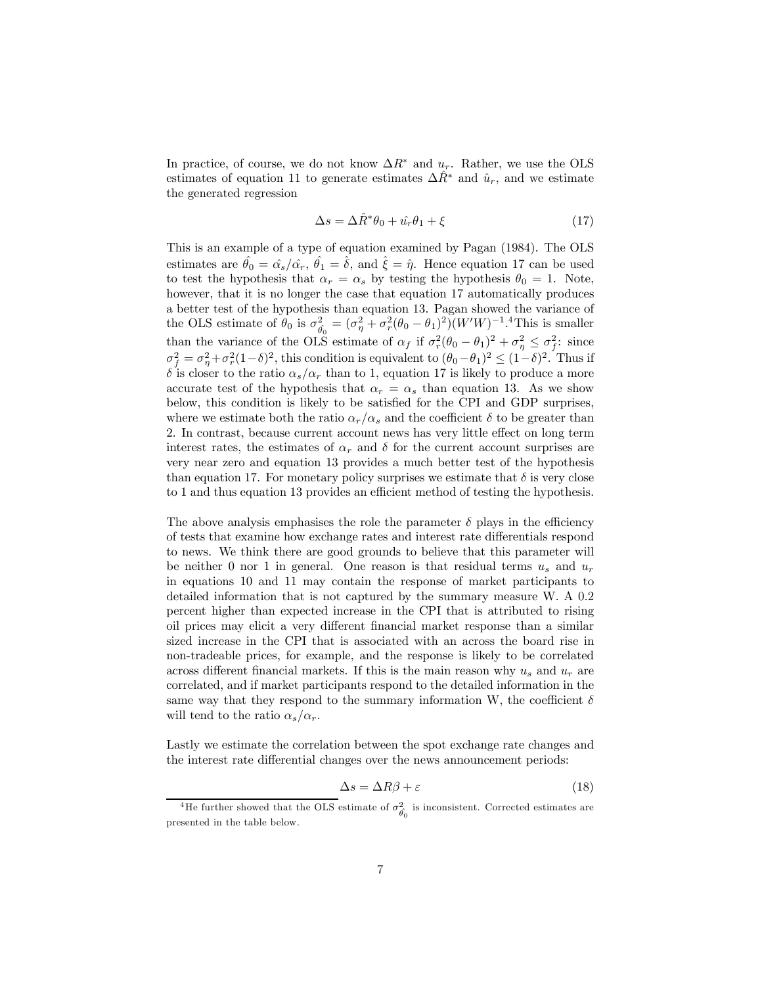In practice, of course, we do not know  $\Delta R^*$  and  $u_r$ . Rather, we use the OLS estimates of equation 11 to generate estimates  $\Delta R^*$  and  $\hat{u}_r$ , and we estimate the generated regression

$$
\Delta s = \Delta \hat{R}^* \theta_0 + \hat{u}_r \theta_1 + \xi \tag{17}
$$

This is an example of a type of equation examined by Pagan (1984). The OLS estimates are  $\hat{\theta}_0 = \hat{\alpha_s}/\hat{\alpha_r}$ ,  $\hat{\theta}_1 = \hat{\delta}$ , and  $\hat{\xi} = \hat{\eta}$ . Hence equation 17 can be used to test the hypothesis that  $\alpha_r = \alpha_s$  by testing the hypothesis  $\theta_0 = 1$ . Note, however, that it is no longer the case that equation 17 automatically produces a better test of the hypothesis than equation 13. Pagan showed the variance of the OLS estimate of  $\theta_0$  is  $\sigma_{\hat{\theta}_0}^2 = (\sigma_{\eta}^2 + \sigma_r^2 (\theta_0 - \theta_1)^2)(W'W)^{-1}$ .<sup>4</sup>This is smaller than the variance of the OLS estimate of  $\alpha_f$  if  $\sigma_r^2(\theta_0 - \theta_1)^2 + \sigma_\eta^2 \leq \sigma_f^2$ : since  $\sigma_f^2 = \sigma_\eta^2 + \sigma_r^2 (1-\delta)^2$ , this condition is equivalent to  $(\theta_0 - \theta_1)^2 \le (1-\delta)^2$ . Thus if  $\delta$  is closer to the ratio  $\alpha_s/\alpha_r$  than to 1, equation 17 is likely to produce a more accurate test of the hypothesis that  $\alpha_r = \alpha_s$  than equation 13. As we show below, this condition is likely to be satisfied for the CPI and GDP surprises, where we estimate both the ratio  $\alpha_r/\alpha_s$  and the coefficient  $\delta$  to be greater than 2. In contrast, because current account news has very little effect on long term interest rates, the estimates of  $\alpha_r$  and  $\delta$  for the current account surprises are very near zero and equation 13 provides a much better test of the hypothesis than equation 17. For monetary policy surprises we estimate that  $\delta$  is very close to 1 and thus equation 13 provides an efficient method of testing the hypothesis.

The above analysis emphasises the role the parameter  $\delta$  plays in the efficiency of tests that examine how exchange rates and interest rate differentials respond to news. We think there are good grounds to believe that this parameter will be neither 0 nor 1 in general. One reason is that residual terms  $u_s$  and  $u_r$ in equations 10 and 11 may contain the response of market participants to detailed information that is not captured by the summary measure W. A 0.2 percent higher than expected increase in the CPI that is attributed to rising oil prices may elicit a very different financial market response than a similar sized increase in the CPI that is associated with an across the board rise in non-tradeable prices, for example, and the response is likely to be correlated across different financial markets. If this is the main reason why  $u_s$  and  $u_r$  are correlated, and if market participants respond to the detailed information in the same way that they respond to the summary information W, the coefficient  $\delta$ will tend to the ratio  $\alpha_s/\alpha_r$ .

Lastly we estimate the correlation between the spot exchange rate changes and the interest rate differential changes over the news announcement periods:

$$
\Delta s = \Delta R \beta + \varepsilon \tag{18}
$$

<sup>&</sup>lt;sup>4</sup>He further showed that the OLS estimate of  $\sigma_{\hat{\theta_0}}^2$  is inconsistent. Corrected estimates are presented in the table below.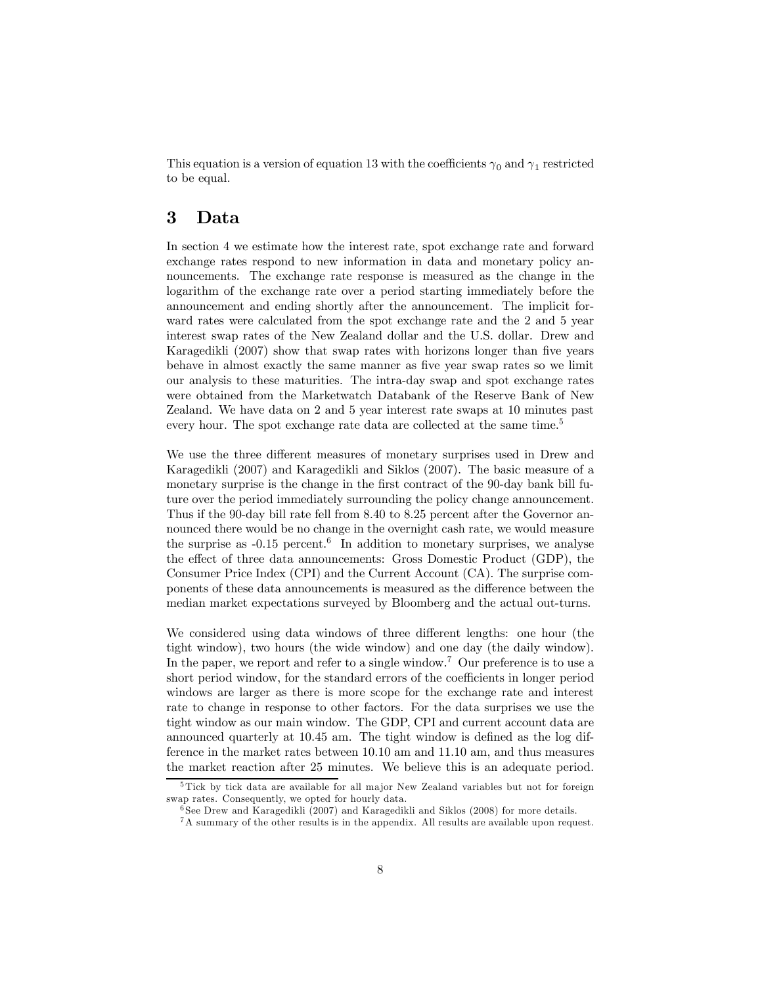This equation is a version of equation 13 with the coefficients  $\gamma_0$  and  $\gamma_1$  restricted to be equal.

## 3 Data

In section 4 we estimate how the interest rate, spot exchange rate and forward exchange rates respond to new information in data and monetary policy announcements. The exchange rate response is measured as the change in the logarithm of the exchange rate over a period starting immediately before the announcement and ending shortly after the announcement. The implicit forward rates were calculated from the spot exchange rate and the 2 and 5 year interest swap rates of the New Zealand dollar and the U.S. dollar. Drew and Karagedikli (2007) show that swap rates with horizons longer than five years behave in almost exactly the same manner as five year swap rates so we limit our analysis to these maturities. The intra-day swap and spot exchange rates were obtained from the Marketwatch Databank of the Reserve Bank of New Zealand. We have data on 2 and 5 year interest rate swaps at 10 minutes past every hour. The spot exchange rate data are collected at the same time.<sup>5</sup>

We use the three different measures of monetary surprises used in Drew and Karagedikli (2007) and Karagedikli and Siklos (2007). The basic measure of a monetary surprise is the change in the first contract of the 90-day bank bill future over the period immediately surrounding the policy change announcement. Thus if the 90-day bill rate fell from 8.40 to 8.25 percent after the Governor announced there would be no change in the overnight cash rate, we would measure the surprise as  $-0.15$  percent.<sup>6</sup> In addition to monetary surprises, we analyse the effect of three data announcements: Gross Domestic Product (GDP), the Consumer Price Index (CPI) and the Current Account (CA). The surprise components of these data announcements is measured as the difference between the median market expectations surveyed by Bloomberg and the actual out-turns.

We considered using data windows of three different lengths: one hour (the tight window), two hours (the wide window) and one day (the daily window). In the paper, we report and refer to a single window.<sup>7</sup> Our preference is to use a short period window, for the standard errors of the coefficients in longer period windows are larger as there is more scope for the exchange rate and interest rate to change in response to other factors. For the data surprises we use the tight window as our main window. The GDP, CPI and current account data are announced quarterly at 10.45 am. The tight window is defined as the log difference in the market rates between 10.10 am and 11.10 am, and thus measures the market reaction after 25 minutes. We believe this is an adequate period.

 $5$ Tick by tick data are available for all major New Zealand variables but not for foreign swap rates. Consequently, we opted for hourly data.

<sup>6</sup> See Drew and Karagedikli (2007) and Karagedikli and Siklos (2008) for more details.

<sup>7</sup>A summary of the other results is in the appendix. All results are available upon request.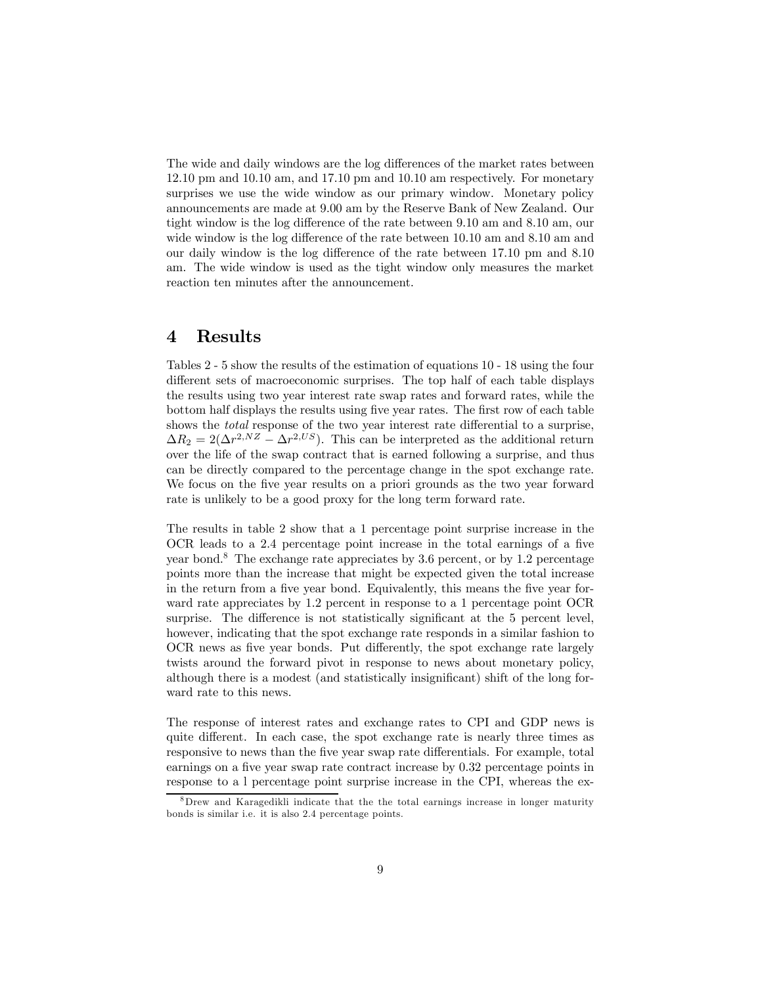The wide and daily windows are the log differences of the market rates between 12.10 pm and 10.10 am, and 17.10 pm and 10.10 am respectively. For monetary surprises we use the wide window as our primary window. Monetary policy announcements are made at 9.00 am by the Reserve Bank of New Zealand. Our tight window is the log difference of the rate between 9.10 am and 8.10 am, our wide window is the log difference of the rate between 10.10 am and 8.10 am and our daily window is the log difference of the rate between 17.10 pm and 8.10 am. The wide window is used as the tight window only measures the market reaction ten minutes after the announcement.

# 4 Results

Tables 2 - 5 show the results of the estimation of equations 10 - 18 using the four different sets of macroeconomic surprises. The top half of each table displays the results using two year interest rate swap rates and forward rates, while the bottom half displays the results using five year rates. The first row of each table shows the total response of the two year interest rate differential to a surprise,  $\Delta R_2 = 2(\Delta r^{2,NZ} - \Delta r^{2,US})$ . This can be interpreted as the additional return over the life of the swap contract that is earned following a surprise, and thus can be directly compared to the percentage change in the spot exchange rate. We focus on the five year results on a priori grounds as the two year forward rate is unlikely to be a good proxy for the long term forward rate.

The results in table 2 show that a 1 percentage point surprise increase in the OCR leads to a 2.4 percentage point increase in the total earnings of a five year bond.<sup>8</sup> The exchange rate appreciates by 3.6 percent, or by 1.2 percentage points more than the increase that might be expected given the total increase in the return from a five year bond. Equivalently, this means the five year forward rate appreciates by 1.2 percent in response to a 1 percentage point OCR surprise. The difference is not statistically significant at the 5 percent level, however, indicating that the spot exchange rate responds in a similar fashion to OCR news as five year bonds. Put differently, the spot exchange rate largely twists around the forward pivot in response to news about monetary policy, although there is a modest (and statistically insignificant) shift of the long forward rate to this news.

The response of interest rates and exchange rates to CPI and GDP news is quite different. In each case, the spot exchange rate is nearly three times as responsive to news than the five year swap rate differentials. For example, total earnings on a five year swap rate contract increase by 0.32 percentage points in response to a l percentage point surprise increase in the CPI, whereas the ex-

<sup>8</sup>Drew and Karagedikli indicate that the the total earnings increase in longer maturity bonds is similar i.e. it is also 2.4 percentage points.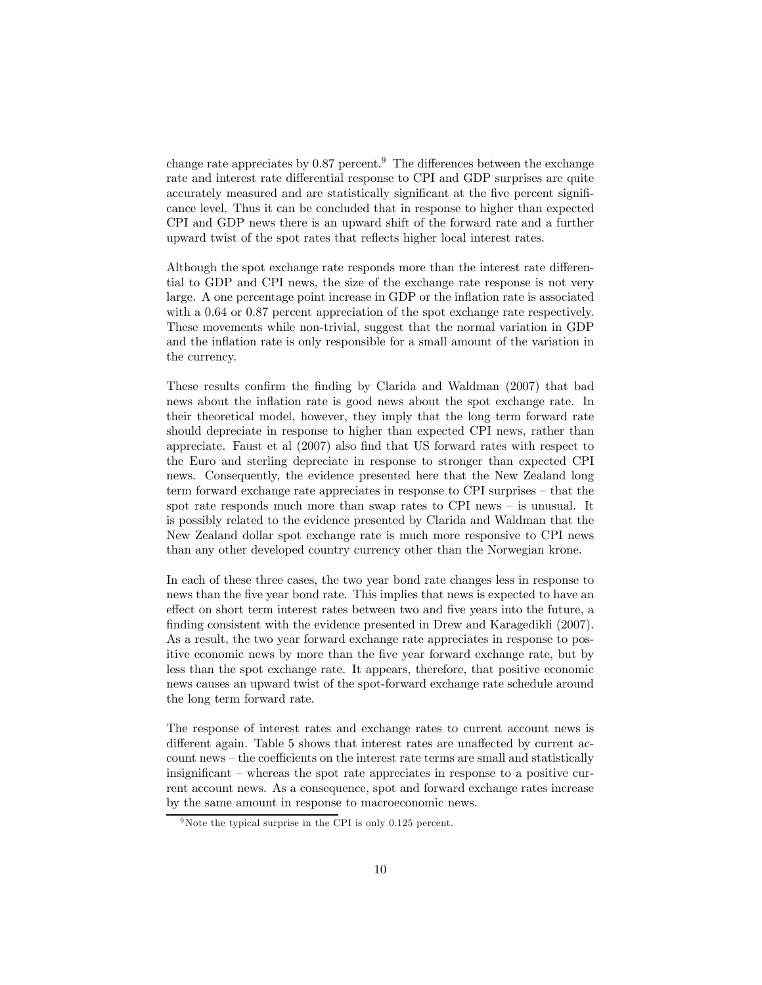change rate appreciates by 0.87 percent.9 The differences between the exchange rate and interest rate differential response to CPI and GDP surprises are quite accurately measured and are statistically significant at the five percent significance level. Thus it can be concluded that in response to higher than expected CPI and GDP news there is an upward shift of the forward rate and a further upward twist of the spot rates that reflects higher local interest rates.

Although the spot exchange rate responds more than the interest rate differential to GDP and CPI news, the size of the exchange rate response is not very large. A one percentage point increase in GDP or the inflation rate is associated with a  $0.64$  or  $0.87$  percent appreciation of the spot exchange rate respectively. These movements while non-trivial, suggest that the normal variation in GDP and the inflation rate is only responsible for a small amount of the variation in the currency.

These results confirm the finding by Clarida and Waldman (2007) that bad news about the inflation rate is good news about the spot exchange rate. In their theoretical model, however, they imply that the long term forward rate should depreciate in response to higher than expected CPI news, rather than appreciate. Faust et al (2007) also find that US forward rates with respect to the Euro and sterling depreciate in response to stronger than expected CPI news. Consequently, the evidence presented here that the New Zealand long term forward exchange rate appreciates in response to CPI surprises — that the spot rate responds much more than swap rates to CPI news — is unusual. It is possibly related to the evidence presented by Clarida and Waldman that the New Zealand dollar spot exchange rate is much more responsive to CPI news than any other developed country currency other than the Norwegian krone.

In each of these three cases, the two year bond rate changes less in response to news than the five year bond rate. This implies that news is expected to have an effect on short term interest rates between two and five years into the future, a finding consistent with the evidence presented in Drew and Karagedikli (2007). As a result, the two year forward exchange rate appreciates in response to positive economic news by more than the five year forward exchange rate, but by less than the spot exchange rate. It appears, therefore, that positive economic news causes an upward twist of the spot-forward exchange rate schedule around the long term forward rate.

The response of interest rates and exchange rates to current account news is different again. Table 5 shows that interest rates are unaffected by current account news — the coefficients on the interest rate terms are small and statistically insignificant — whereas the spot rate appreciates in response to a positive current account news. As a consequence, spot and forward exchange rates increase by the same amount in response to macroeconomic news.

<sup>&</sup>lt;sup>9</sup>Note the typical surprise in the CPI is only 0.125 percent.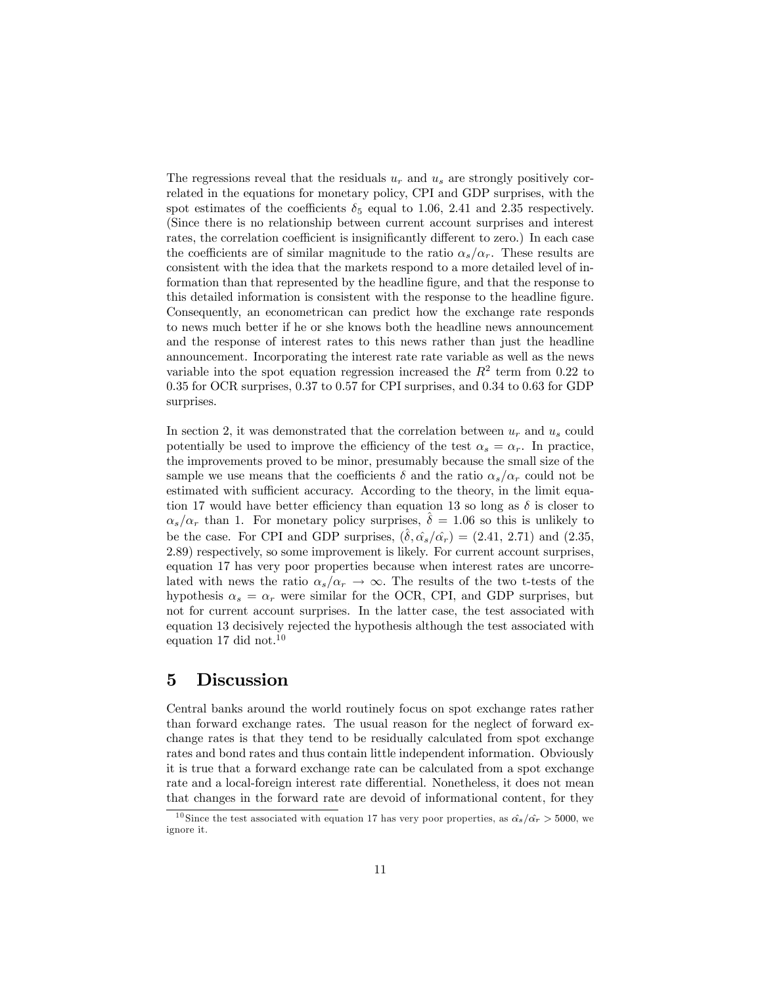The regressions reveal that the residuals  $u_r$  and  $u_s$  are strongly positively correlated in the equations for monetary policy, CPI and GDP surprises, with the spot estimates of the coefficients  $\delta_5$  equal to 1.06, 2.41 and 2.35 respectively. (Since there is no relationship between current account surprises and interest rates, the correlation coefficient is insignificantly different to zero.) In each case the coefficients are of similar magnitude to the ratio  $\alpha_s/\alpha_r$ . These results are consistent with the idea that the markets respond to a more detailed level of information than that represented by the headline figure, and that the response to this detailed information is consistent with the response to the headline figure. Consequently, an econometrican can predict how the exchange rate responds to news much better if he or she knows both the headline news announcement and the response of interest rates to this news rather than just the headline announcement. Incorporating the interest rate rate variable as well as the news variable into the spot equation regression increased the  $R^2$  term from 0.22 to 0.35 for OCR surprises, 0.37 to 0.57 for CPI surprises, and 0.34 to 0.63 for GDP surprises.

In section 2, it was demonstrated that the correlation between  $u_r$  and  $u_s$  could potentially be used to improve the efficiency of the test  $\alpha_s = \alpha_r$ . In practice, the improvements proved to be minor, presumably because the small size of the sample we use means that the coefficients  $\delta$  and the ratio  $\alpha_s/\alpha_r$  could not be estimated with sufficient accuracy. According to the theory, in the limit equation 17 would have better efficiency than equation 13 so long as  $\delta$  is closer to  $\alpha_s/\alpha_r$  than 1. For monetary policy surprises,  $\hat{\delta} = 1.06$  so this is unlikely to be the case. For CPI and GDP surprises,  $(\delta, \alpha_s/\alpha_r) = (2.41, 2.71)$  and  $(2.35,$ 2.89) respectively, so some improvement is likely. For current account surprises, equation 17 has very poor properties because when interest rates are uncorrelated with news the ratio  $\alpha_s/\alpha_r \to \infty$ . The results of the two t-tests of the hypothesis  $\alpha_s = \alpha_r$  were similar for the OCR, CPI, and GDP surprises, but not for current account surprises. In the latter case, the test associated with equation 13 decisively rejected the hypothesis although the test associated with equation 17 did not.<sup>10</sup>

## 5 Discussion

Central banks around the world routinely focus on spot exchange rates rather than forward exchange rates. The usual reason for the neglect of forward exchange rates is that they tend to be residually calculated from spot exchange rates and bond rates and thus contain little independent information. Obviously it is true that a forward exchange rate can be calculated from a spot exchange rate and a local-foreign interest rate differential. Nonetheless, it does not mean that changes in the forward rate are devoid of informational content, for they

<sup>&</sup>lt;sup>10</sup> Since the test associated with equation 17 has very poor properties, as  $\hat{\alpha_s}/\hat{\alpha_r} > 5000$ , we ignore it.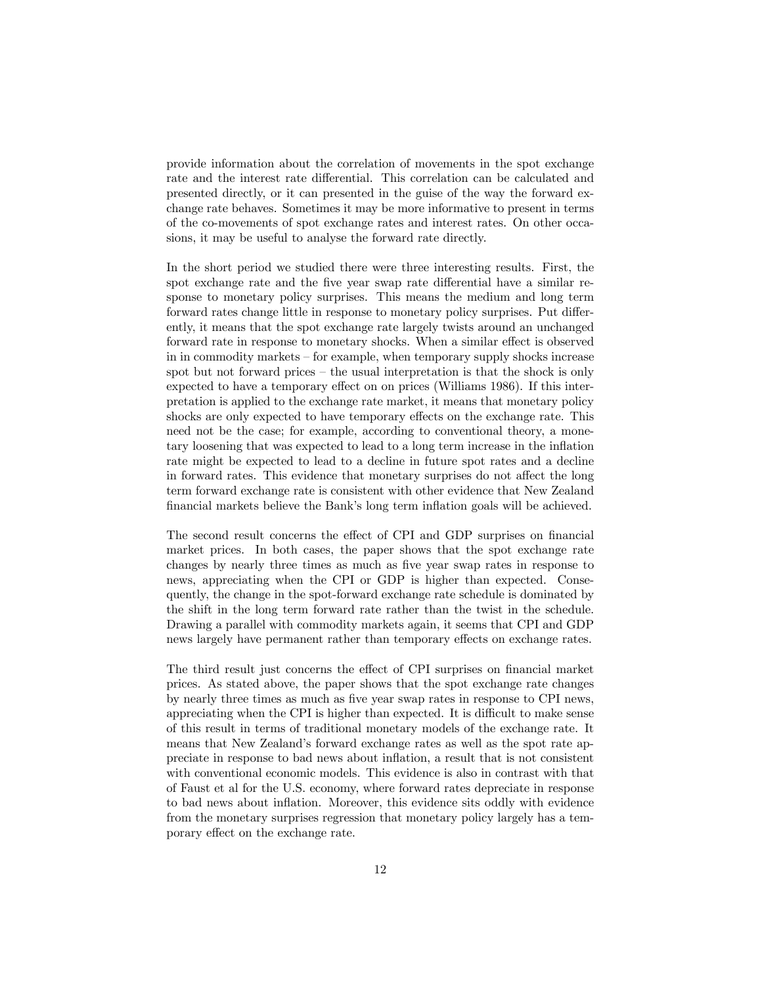provide information about the correlation of movements in the spot exchange rate and the interest rate differential. This correlation can be calculated and presented directly, or it can presented in the guise of the way the forward exchange rate behaves. Sometimes it may be more informative to present in terms of the co-movements of spot exchange rates and interest rates. On other occasions, it may be useful to analyse the forward rate directly.

In the short period we studied there were three interesting results. First, the spot exchange rate and the five year swap rate differential have a similar response to monetary policy surprises. This means the medium and long term forward rates change little in response to monetary policy surprises. Put differently, it means that the spot exchange rate largely twists around an unchanged forward rate in response to monetary shocks. When a similar effect is observed in in commodity markets — for example, when temporary supply shocks increase spot but not forward prices — the usual interpretation is that the shock is only expected to have a temporary effect on on prices (Williams 1986). If this interpretation is applied to the exchange rate market, it means that monetary policy shocks are only expected to have temporary effects on the exchange rate. This need not be the case; for example, according to conventional theory, a monetary loosening that was expected to lead to a long term increase in the inflation rate might be expected to lead to a decline in future spot rates and a decline in forward rates. This evidence that monetary surprises do not affect the long term forward exchange rate is consistent with other evidence that New Zealand financial markets believe the Bank's long term inflation goals will be achieved.

The second result concerns the effect of CPI and GDP surprises on financial market prices. In both cases, the paper shows that the spot exchange rate changes by nearly three times as much as five year swap rates in response to news, appreciating when the CPI or GDP is higher than expected. Consequently, the change in the spot-forward exchange rate schedule is dominated by the shift in the long term forward rate rather than the twist in the schedule. Drawing a parallel with commodity markets again, it seems that CPI and GDP news largely have permanent rather than temporary effects on exchange rates.

The third result just concerns the effect of CPI surprises on financial market prices. As stated above, the paper shows that the spot exchange rate changes by nearly three times as much as five year swap rates in response to CPI news, appreciating when the CPI is higher than expected. It is difficult to make sense of this result in terms of traditional monetary models of the exchange rate. It means that New Zealand's forward exchange rates as well as the spot rate appreciate in response to bad news about inflation, a result that is not consistent with conventional economic models. This evidence is also in contrast with that of Faust et al for the U.S. economy, where forward rates depreciate in response to bad news about inflation. Moreover, this evidence sits oddly with evidence from the monetary surprises regression that monetary policy largely has a temporary effect on the exchange rate.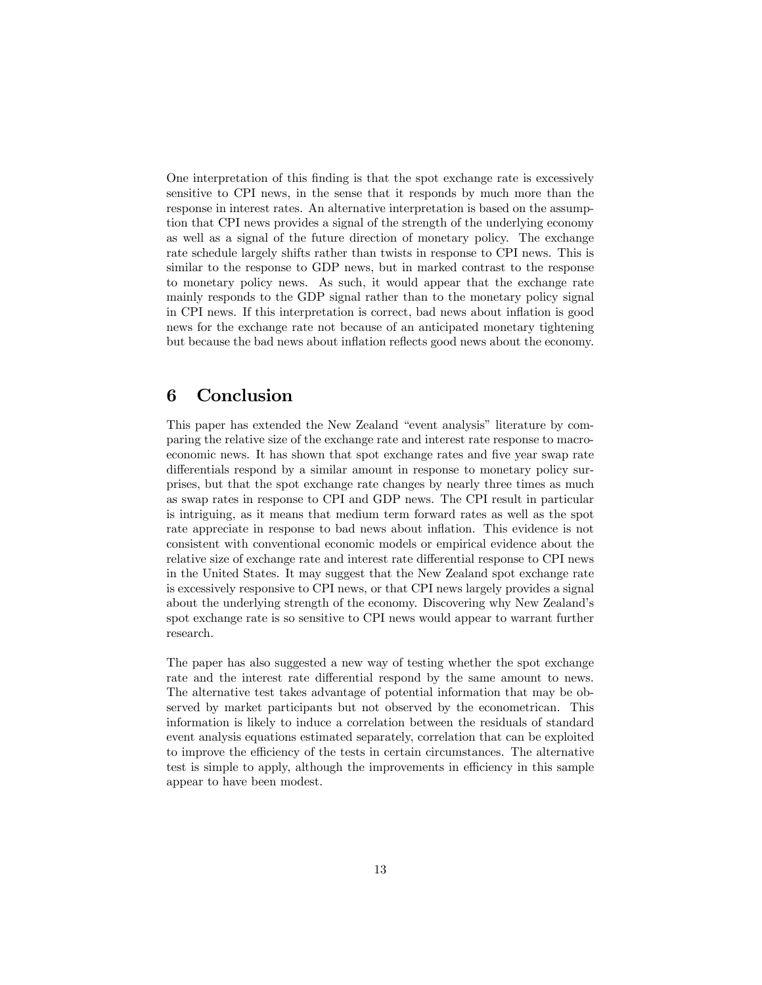One interpretation of this finding is that the spot exchange rate is excessively sensitive to CPI news, in the sense that it responds by much more than the response in interest rates. An alternative interpretation is based on the assumption that CPI news provides a signal of the strength of the underlying economy as well as a signal of the future direction of monetary policy. The exchange rate schedule largely shifts rather than twists in response to CPI news. This is similar to the response to GDP news, but in marked contrast to the response to monetary policy news. As such, it would appear that the exchange rate mainly responds to the GDP signal rather than to the monetary policy signal in CPI news. If this interpretation is correct, bad news about inflation is good news for the exchange rate not because of an anticipated monetary tightening but because the bad news about inflation reflects good news about the economy.

## 6 Conclusion

This paper has extended the New Zealand "event analysis" literature by comparing the relative size of the exchange rate and interest rate response to macroeconomic news. It has shown that spot exchange rates and five year swap rate differentials respond by a similar amount in response to monetary policy surprises, but that the spot exchange rate changes by nearly three times as much as swap rates in response to CPI and GDP news. The CPI result in particular is intriguing, as it means that medium term forward rates as well as the spot rate appreciate in response to bad news about inflation. This evidence is not consistent with conventional economic models or empirical evidence about the relative size of exchange rate and interest rate differential response to CPI news in the United States. It may suggest that the New Zealand spot exchange rate is excessively responsive to CPI news, or that CPI news largely provides a signal about the underlying strength of the economy. Discovering why New Zealand's spot exchange rate is so sensitive to CPI news would appear to warrant further research.

The paper has also suggested a new way of testing whether the spot exchange rate and the interest rate differential respond by the same amount to news. The alternative test takes advantage of potential information that may be observed by market participants but not observed by the econometrican. This information is likely to induce a correlation between the residuals of standard event analysis equations estimated separately, correlation that can be exploited to improve the efficiency of the tests in certain circumstances. The alternative test is simple to apply, although the improvements in efficiency in this sample appear to have been modest.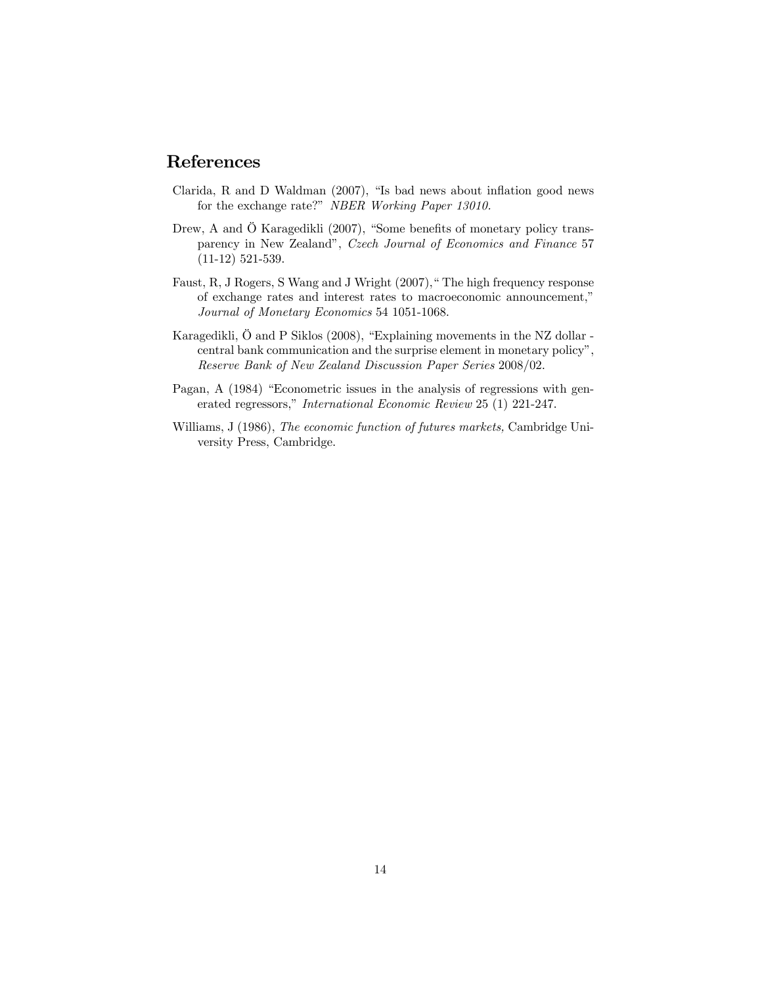# References

- Clarida, R and D Waldman (2007), "Is bad news about inflation good news for the exchange rate?" NBER Working Paper 13010.
- Drew, A and Ö Karagedikli (2007), "Some benefits of monetary policy transparency in New Zealand", Czech Journal of Economics and Finance 57 (11-12) 521-539.
- Faust, R, J Rogers, S Wang and J Wright (2007)," The high frequency response of exchange rates and interest rates to macroeconomic announcement," Journal of Monetary Economics 54 1051-1068.
- Karagedikli, Ö and P Siklos (2008), "Explaining movements in the NZ dollar central bank communication and the surprise element in monetary policy", Reserve Bank of New Zealand Discussion Paper Series 2008/02.
- Pagan, A (1984) "Econometric issues in the analysis of regressions with generated regressors," International Economic Review 25 (1) 221-247.
- Williams, J (1986), The economic function of futures markets, Cambridge University Press, Cambridge.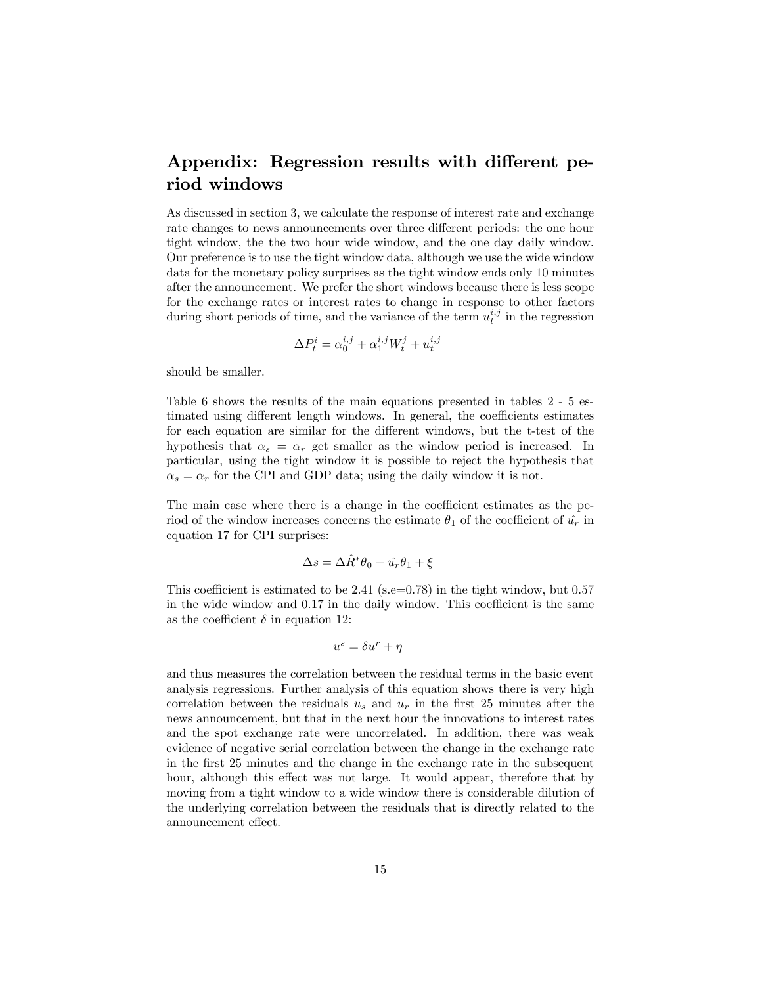# Appendix: Regression results with different period windows

As discussed in section 3, we calculate the response of interest rate and exchange rate changes to news announcements over three different periods: the one hour tight window, the the two hour wide window, and the one day daily window. Our preference is to use the tight window data, although we use the wide window data for the monetary policy surprises as the tight window ends only 10 minutes after the announcement. We prefer the short windows because there is less scope for the exchange rates or interest rates to change in response to other factors during short periods of time, and the variance of the term  $u_t^{i,j}$  in the regression

$$
\Delta P_t^i = \alpha_0^{i,j} + \alpha_1^{i,j} W_t^j + u_t^{i,j}
$$

should be smaller.

Table 6 shows the results of the main equations presented in tables 2 - 5 estimated using different length windows. In general, the coefficients estimates for each equation are similar for the different windows, but the t-test of the hypothesis that  $\alpha_s = \alpha_r$  get smaller as the window period is increased. In particular, using the tight window it is possible to reject the hypothesis that  $\alpha_s = \alpha_r$  for the CPI and GDP data; using the daily window it is not.

The main case where there is a change in the coefficient estimates as the period of the window increases concerns the estimate  $\theta_1$  of the coefficient of  $\hat{u}_r$  in equation 17 for CPI surprises:

$$
\Delta s = \Delta \hat{R}^* \theta_0 + \hat{u_r} \theta_1 + \xi
$$

This coefficient is estimated to be  $2.41$  (s.e=0.78) in the tight window, but  $0.57$ in the wide window and 0.17 in the daily window. This coefficient is the same as the coefficient  $\delta$  in equation 12:

$$
u^s = \delta u^r + \eta
$$

and thus measures the correlation between the residual terms in the basic event analysis regressions. Further analysis of this equation shows there is very high correlation between the residuals  $u_s$  and  $u_r$  in the first 25 minutes after the news announcement, but that in the next hour the innovations to interest rates and the spot exchange rate were uncorrelated. In addition, there was weak evidence of negative serial correlation between the change in the exchange rate in the first 25 minutes and the change in the exchange rate in the subsequent hour, although this effect was not large. It would appear, therefore that by moving from a tight window to a wide window there is considerable dilution of the underlying correlation between the residuals that is directly related to the announcement effect.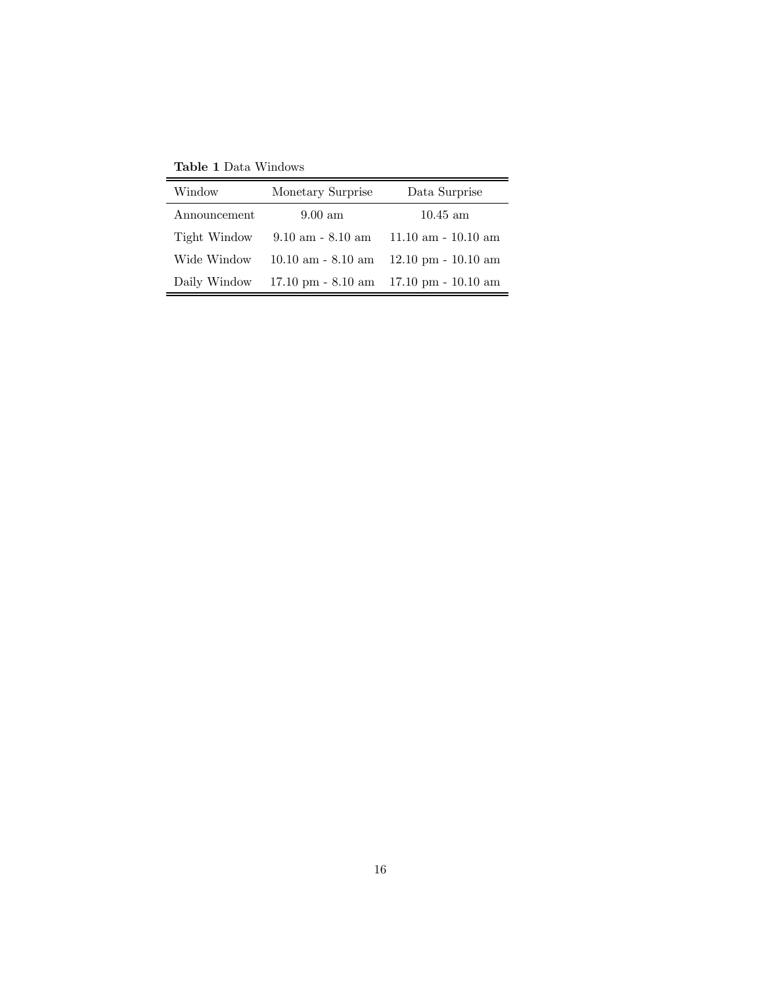Table 1 Data Windows

| Window       | Monetary Surprise                    | Data Surprise                                            |
|--------------|--------------------------------------|----------------------------------------------------------|
| Announcement | $9.00 \text{ am}$                    | $10.45$ am                                               |
| Tight Window | $9.10 \text{ am} - 8.10 \text{ am}$  | 11.10 am - 10.10 am                                      |
| Wide Window  | $10.10 \text{ am} - 8.10 \text{ am}$ | $12.10 \text{ pm} - 10.10 \text{ am}$                    |
| Daily Window |                                      | $17.10 \text{ pm} - 8.10 \text{ am}$ 17.10 pm - 10.10 am |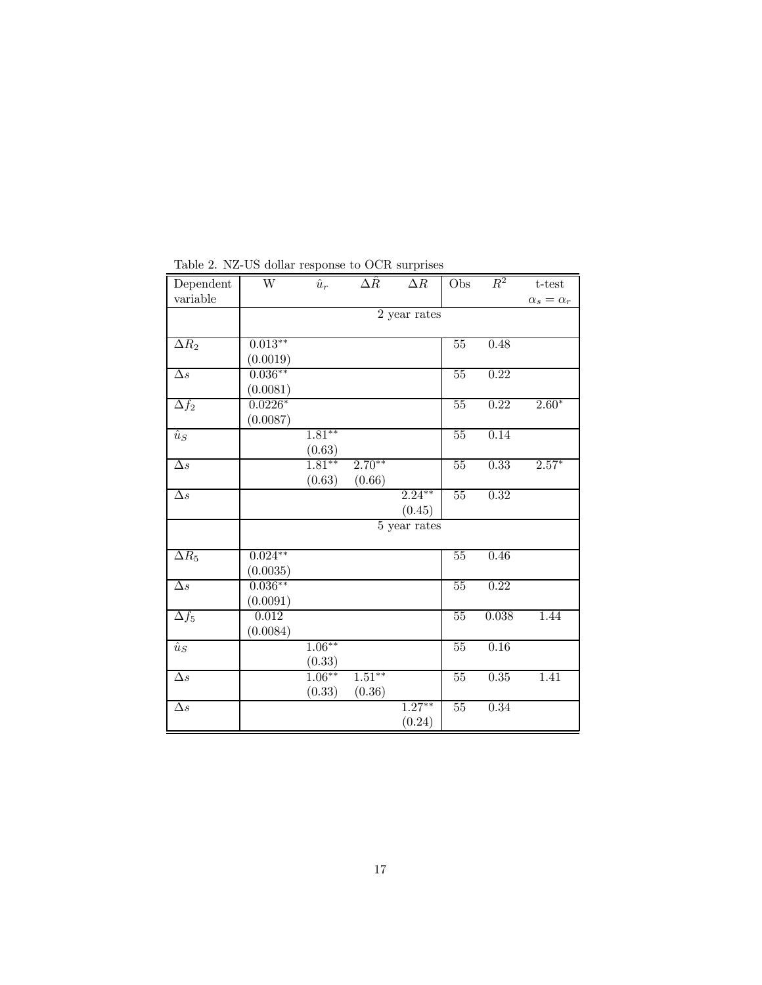| Dependent               | W                     | $\hat{u}_r$ | $\Delta \hat{R}$ | $\Delta R$   | Obs             | $R^2$ | $t$ -test             |  |  |
|-------------------------|-----------------------|-------------|------------------|--------------|-----------------|-------|-----------------------|--|--|
| variable                |                       |             |                  |              |                 |       | $\alpha_s = \alpha_r$ |  |  |
|                         | 2 year rates          |             |                  |              |                 |       |                       |  |  |
|                         |                       |             |                  |              |                 |       |                       |  |  |
| $\Delta R_2$            | $0.013**$             |             |                  |              | $55\,$          | 0.48  |                       |  |  |
|                         | (0.0019)              |             |                  |              |                 |       |                       |  |  |
| $\Delta s$              | $0.036***$            |             |                  |              | $55\,$          | 0.22  |                       |  |  |
|                         | (0.0081)              |             |                  |              |                 |       |                       |  |  |
| $\Delta f_2$            | $0.\overline{0226^*}$ |             |                  |              | $\overline{55}$ | 0.22  | $2.60*$               |  |  |
|                         | (0.0087)              |             |                  |              |                 |       |                       |  |  |
| $\hat{u}_S$             |                       | $1.81**$    |                  |              | 55              | 0.14  |                       |  |  |
|                         |                       | (0.63)      |                  |              |                 |       |                       |  |  |
| $\overline{\Delta s}$   |                       | $1.81**$    | $2.70**$         |              | $\overline{55}$ | 0.33  | $2.57*$               |  |  |
|                         |                       | (0.63)      | (0.66)           |              |                 |       |                       |  |  |
| $\overline{\Delta s}$   |                       |             |                  | $2.24***$    | $\overline{55}$ | 0.32  |                       |  |  |
|                         |                       |             |                  | (0.45)       |                 |       |                       |  |  |
|                         |                       |             |                  | 5 year rates |                 |       |                       |  |  |
|                         |                       |             |                  |              |                 |       |                       |  |  |
| $\overline{\Delta R_5}$ | $0.024***$            |             |                  |              | $55\,$          | 0.46  |                       |  |  |
|                         | (0.0035)              |             |                  |              |                 |       |                       |  |  |
| $\Delta s$              | $0.036***$            |             |                  |              | 55              | 0.22  |                       |  |  |
|                         | (0.0091)              |             |                  |              |                 |       |                       |  |  |
| $\overline{\Delta f_5}$ | 0.012                 |             |                  |              | $\overline{55}$ | 0.038 | 1.44                  |  |  |
|                         | (0.0084)              |             |                  |              |                 |       |                       |  |  |
| $\hat{u}_S$             |                       | $1.06**$    |                  |              | $\overline{55}$ | 0.16  |                       |  |  |
|                         |                       | (0.33)      |                  |              |                 |       |                       |  |  |
| $\Delta s$              |                       | $1.06**$    | $1.51***$        |              | $\overline{55}$ | 0.35  | 1.41                  |  |  |
|                         |                       | (0.33)      | (0.36)           |              |                 |       |                       |  |  |
| $\Delta s$              |                       |             |                  | $1.27***$    | $55\,$          | 0.34  |                       |  |  |
|                         |                       |             |                  | (0.24)       |                 |       |                       |  |  |

Table 2. NZ-US dollar response to OCR surprises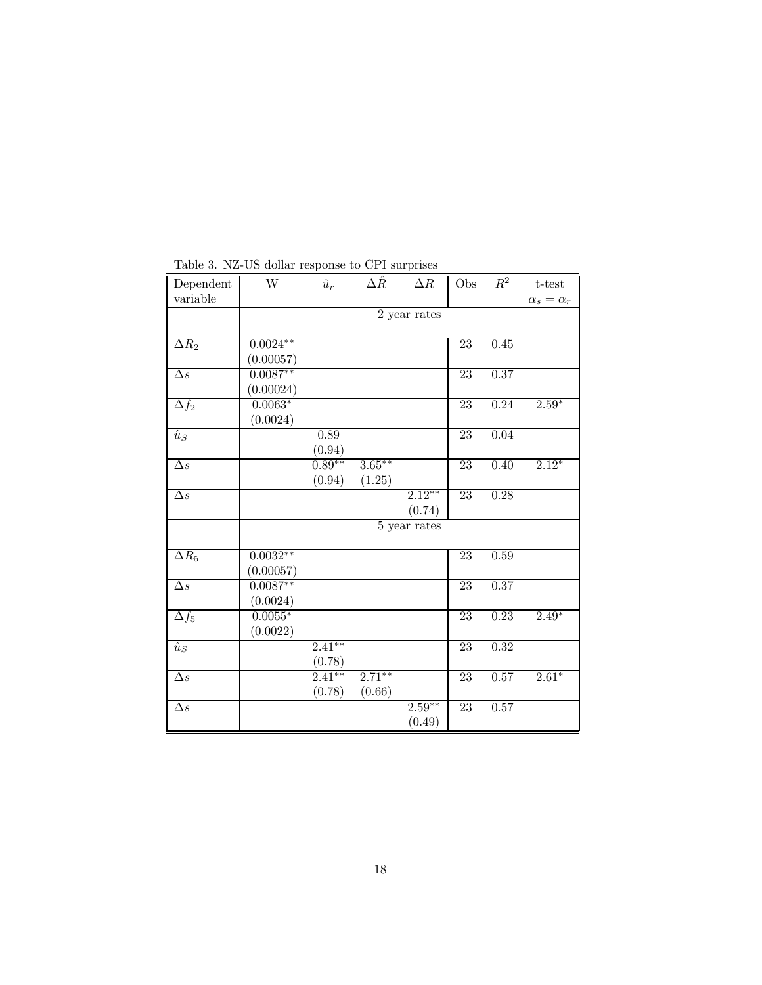| W            | $\hat{u}_r$                                    | $\Delta \hat{R}$ | $\Delta R$ | Obs             | $\overline{R^2}$ | t-test              |  |  |
|--------------|------------------------------------------------|------------------|------------|-----------------|------------------|---------------------|--|--|
|              |                                                |                  |            |                 |                  | $\alpha_s=\alpha_r$ |  |  |
| 2 year rates |                                                |                  |            |                 |                  |                     |  |  |
|              |                                                |                  |            |                 |                  |                     |  |  |
| $0.0024**$   |                                                |                  |            | $\overline{23}$ | 0.45             |                     |  |  |
| (0.00057)    |                                                |                  |            |                 |                  |                     |  |  |
| $0.0087**$   |                                                |                  |            | $\overline{23}$ | 0.37             |                     |  |  |
|              |                                                |                  |            |                 |                  |                     |  |  |
| $0.0063*$    |                                                |                  |            | $\overline{23}$ | 0.24             | $2.59*$             |  |  |
|              |                                                |                  |            |                 |                  |                     |  |  |
|              | 0.89                                           |                  |            | $\overline{23}$ | 0.04             |                     |  |  |
|              | (0.94)                                         |                  |            |                 |                  |                     |  |  |
|              | $0.89**$                                       | $3.65***$        |            | $\overline{23}$ | 0.40             | $2.12*$             |  |  |
|              |                                                |                  |            |                 |                  |                     |  |  |
|              |                                                |                  | $2.12**$   | $\overline{23}$ | 0.28             |                     |  |  |
|              |                                                |                  | (0.74)     |                 |                  |                     |  |  |
|              |                                                |                  |            |                 |                  |                     |  |  |
|              |                                                |                  |            |                 |                  |                     |  |  |
| $0.0032**$   |                                                |                  |            | $\overline{23}$ | 0.59             |                     |  |  |
|              |                                                |                  |            |                 |                  |                     |  |  |
| $0.0087**$   |                                                |                  |            | $\overline{23}$ | 0.37             |                     |  |  |
|              |                                                |                  |            |                 |                  |                     |  |  |
| $0.0055*$    |                                                |                  |            | $\overline{23}$ | 0.23             | $2.49*$             |  |  |
| (0.0022)     |                                                |                  |            |                 |                  |                     |  |  |
|              | $2.41**$                                       |                  |            | $\overline{23}$ | 0.32             |                     |  |  |
|              | (0.78)                                         |                  |            |                 |                  |                     |  |  |
|              | $2.41***$                                      | $2.71**$         |            | $\overline{23}$ | 0.57             | $2.61*$             |  |  |
|              | (0.78)                                         | (0.66)           |            |                 |                  |                     |  |  |
|              |                                                |                  | $2.59***$  | 23              | 0.57             |                     |  |  |
|              |                                                |                  | (0.49)     |                 |                  |                     |  |  |
|              | (0.00024)<br>(0.0024)<br>(0.00057)<br>(0.0024) | (0.94)           | (1.25)     | 5 year rates    |                  |                     |  |  |

Table 3. NZ-US dollar response to CPI surprises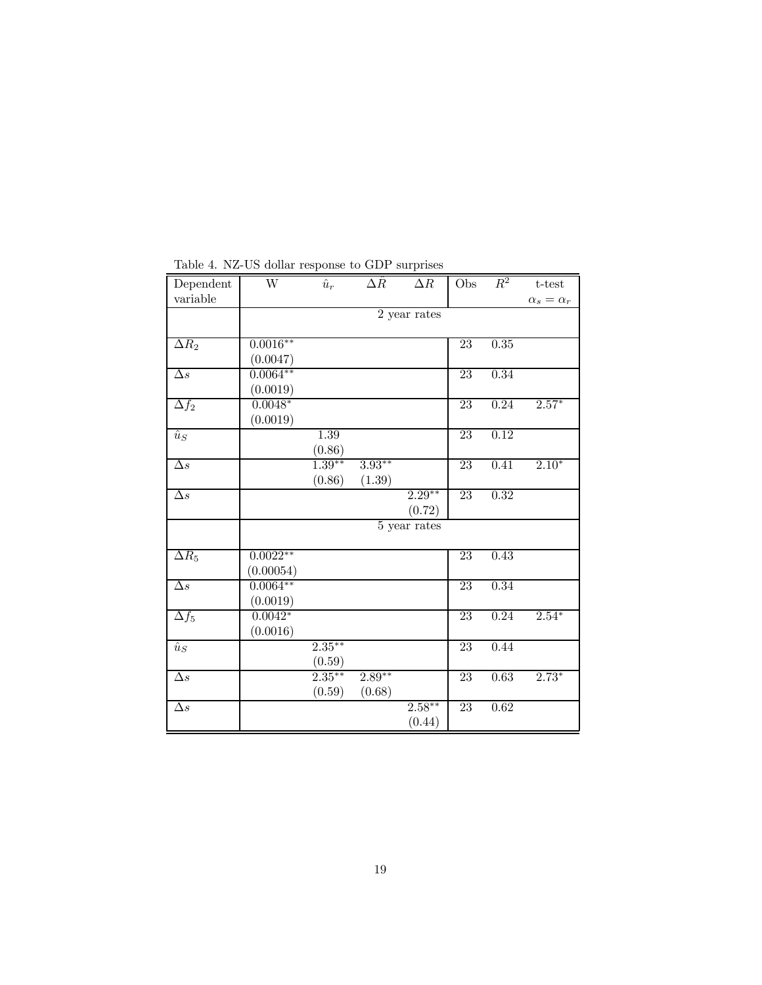| Dependent               | W            | $\hat{u}_r$ | $\Delta \hat{R}$ | $\Delta R$   | Obs             | $\overline{R^2}$ | t-test                |  |
|-------------------------|--------------|-------------|------------------|--------------|-----------------|------------------|-----------------------|--|
| variable                |              |             |                  |              |                 |                  | $\alpha_s = \alpha_r$ |  |
|                         | 2 year rates |             |                  |              |                 |                  |                       |  |
|                         |              |             |                  |              |                 |                  |                       |  |
| $\Delta R_2$            | $0.0016**$   |             |                  |              | 23              | 0.35             |                       |  |
|                         | (0.0047)     |             |                  |              |                 |                  |                       |  |
| $\Delta s$              | $0.0064**$   |             |                  |              | 23              | 0.34             |                       |  |
|                         | (0.0019)     |             |                  |              |                 |                  |                       |  |
| $\Delta f_2$            | $0.0048*$    |             |                  |              | $\overline{23}$ | 0.24             | $2.57*$               |  |
|                         | (0.0019)     |             |                  |              |                 |                  |                       |  |
| $\overline{\hat{u}_S}$  |              | 1.39        |                  |              | $\overline{23}$ | 0.12             |                       |  |
|                         |              | (0.86)      |                  |              |                 |                  |                       |  |
| $\overline{\Delta s}$   |              | $1.39**$    | $3.93**$         |              | $\overline{23}$ | 0.41             | $2.10*$               |  |
|                         |              | (0.86)      | (1.39)           |              |                 |                  |                       |  |
| $\overline{\Delta s}$   |              |             |                  | $2.29***$    | $\overline{23}$ | 0.32             |                       |  |
|                         |              |             |                  | (0.72)       |                 |                  |                       |  |
|                         |              |             |                  | 5 year rates |                 |                  |                       |  |
|                         |              |             |                  |              |                 |                  |                       |  |
| $\overline{\Delta R_5}$ | $0.0022**$   |             |                  |              | $\overline{23}$ | 0.43             |                       |  |
|                         | (0.00054)    |             |                  |              |                 |                  |                       |  |
| $\Delta s$              | $0.0064***$  |             |                  |              | $\overline{23}$ | 0.34             |                       |  |
|                         | (0.0019)     |             |                  |              |                 |                  |                       |  |
| $\overline{\Delta f_5}$ | $0.0042*$    |             |                  |              | $\overline{23}$ | 0.24             | $2.54*$               |  |
|                         | (0.0016)     |             |                  |              |                 |                  |                       |  |
| $\hat{u}_S$             |              | $2.35***$   |                  |              | $\overline{23}$ | 0.44             |                       |  |
|                         |              | (0.59)      |                  |              |                 |                  |                       |  |
| $\overline{\Delta s}$   |              | $2.35***$   | $2.89**$         |              | $\overline{23}$ | 0.63             | $2.73*$               |  |
|                         |              | (0.59)      | (0.68)           |              |                 |                  |                       |  |
| $\Delta s$              |              |             |                  | $2.58***$    | 23              | 0.62             |                       |  |
|                         |              |             |                  | (0.44)       |                 |                  |                       |  |

Table 4. NZ-US dollar response to GDP surprises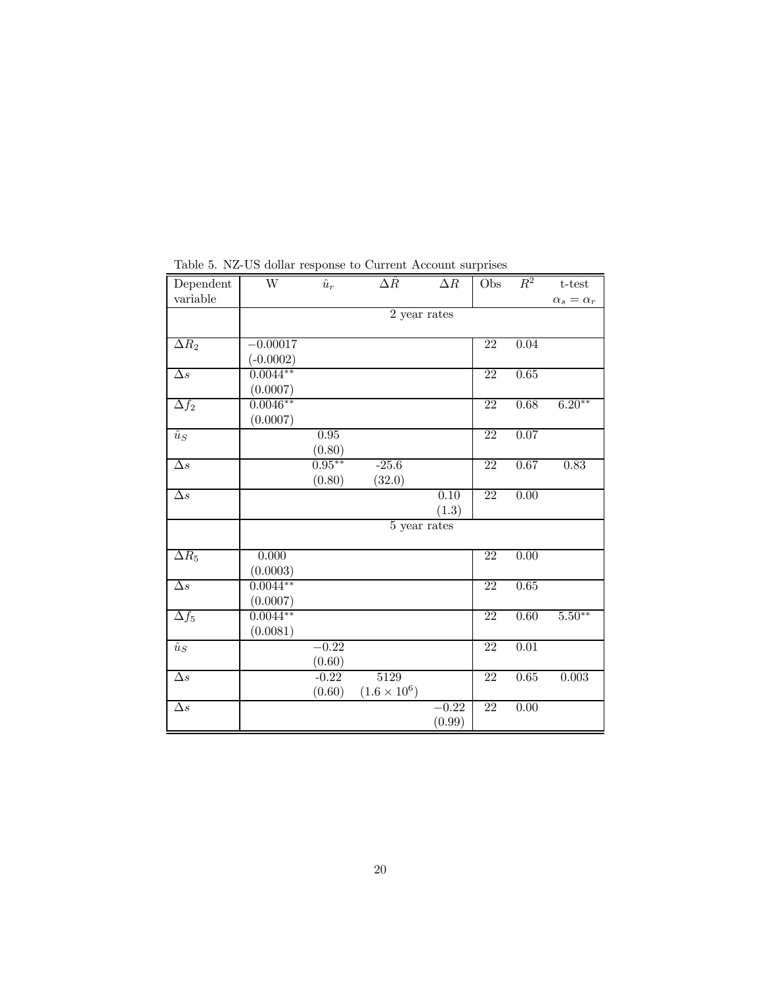| Dependent               | W            | $\hat{u}_r$ | $\Delta \hat{R}$    | $\Delta R$          | Obs             | $\mathbb{R}^2$    | t-test              |  |  |
|-------------------------|--------------|-------------|---------------------|---------------------|-----------------|-------------------|---------------------|--|--|
| variable                |              |             |                     |                     |                 |                   | $\alpha_s=\alpha_r$ |  |  |
|                         | 2 year rates |             |                     |                     |                 |                   |                     |  |  |
|                         |              |             |                     |                     |                 |                   |                     |  |  |
| $\Delta R_2$            | $-0.00017$   |             |                     |                     | 22              | 0.04              |                     |  |  |
|                         | $(-0.0002)$  |             |                     |                     |                 |                   |                     |  |  |
| $\Delta s$              | $0.0044**$   |             |                     |                     | $\overline{22}$ | 0.65              |                     |  |  |
|                         | (0.0007)     |             |                     |                     |                 |                   |                     |  |  |
| $\overline{\Delta f_2}$ | $0.0046**$   |             |                     |                     | $\overline{22}$ | 0.68              | $6.20**$            |  |  |
|                         | (0.0007)     |             |                     |                     |                 |                   |                     |  |  |
| $\overline{\hat{u}_S}$  |              | 0.95        |                     |                     | $\overline{22}$ | 0.07              |                     |  |  |
|                         |              | (0.80)      |                     |                     |                 |                   |                     |  |  |
| $\overline{\Delta s}$   |              | $0.95**$    | $-25.6$             |                     | $\overline{22}$ | 0.67              | 0.83                |  |  |
|                         |              | (0.80)      | (32.0)              |                     |                 |                   |                     |  |  |
| $\overline{\Delta s}$   |              |             |                     | 0.10                | $\overline{22}$ | 0.00              |                     |  |  |
|                         |              |             |                     | $\left( 1.3\right)$ |                 |                   |                     |  |  |
|                         |              |             | 5 year rates        |                     |                 |                   |                     |  |  |
|                         |              |             |                     |                     |                 |                   |                     |  |  |
| $\overline{\Delta R_5}$ | 0.000        |             |                     |                     | $\overline{22}$ | $\overline{0.00}$ |                     |  |  |
|                         | (0.0003)     |             |                     |                     |                 |                   |                     |  |  |
| $\Delta s$              | $0.0044**$   |             |                     |                     | $\overline{22}$ | 0.65              |                     |  |  |
|                         | (0.0007)     |             |                     |                     |                 |                   |                     |  |  |
| $\overline{\Delta f_5}$ | $0.0044**$   |             |                     |                     | $\overline{22}$ | 0.60              | $5.50**$            |  |  |
|                         | (0.0081)     |             |                     |                     |                 |                   |                     |  |  |
| $\hat{u}_S$             |              | $-0.22$     |                     |                     | 22              | 0.01              |                     |  |  |
|                         |              | (0.60)      |                     |                     |                 |                   |                     |  |  |
| $\overline{\Delta s}$   |              | $-0.22$     | 5129                |                     | $\overline{22}$ | 0.65              | 0.003               |  |  |
|                         |              | (0.60)      | $(1.6 \times 10^6)$ |                     |                 |                   |                     |  |  |
| $\Delta s$              |              |             |                     | $-0.22$             | $\overline{22}$ | 0.00              |                     |  |  |
|                         |              |             |                     | (0.99)              |                 |                   |                     |  |  |

Table 5. NZ-US dollar response to Current Account surprises